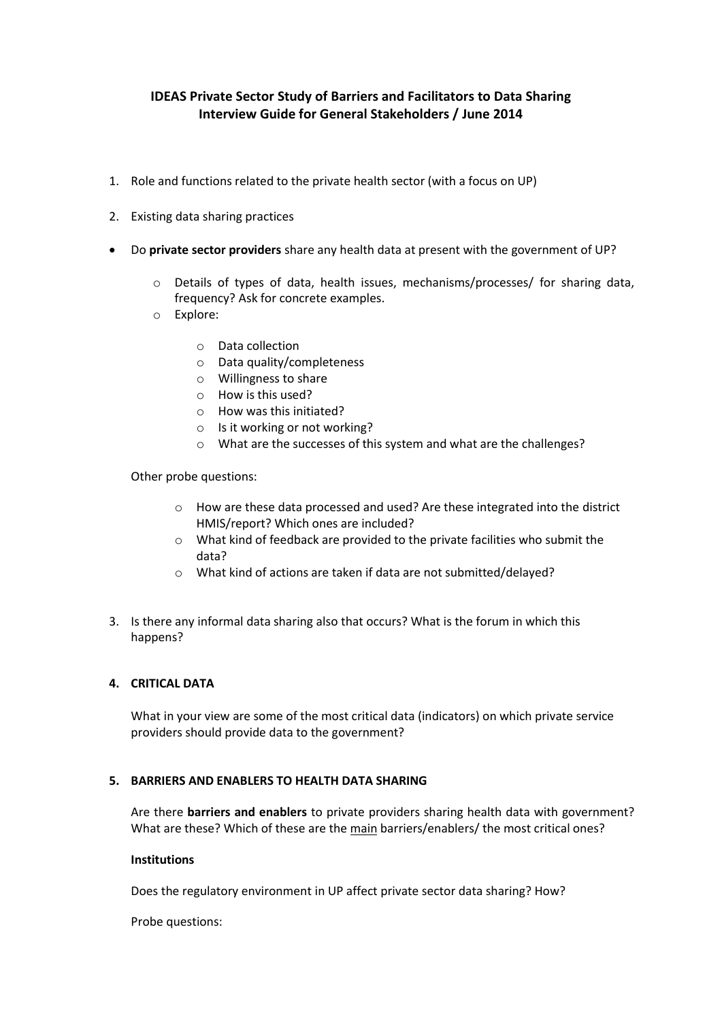# **IDEAS Private Sector Study of Barriers and Facilitators to Data Sharing Interview Guide for General Stakeholders / June 2014**

- 1. Role and functions related to the private health sector (with a focus on UP)
- 2. Existing data sharing practices
- Do **private sector providers** share any health data at present with the government of UP?
	- o Details of types of data, health issues, mechanisms/processes/ for sharing data, frequency? Ask for concrete examples.
	- o Explore:
		- o Data collection
		- o Data quality/completeness
		- o Willingness to share
		- o How is this used?
		- o How was this initiated?
		- o Is it working or not working?
		- o What are the successes of this system and what are the challenges?

Other probe questions:

- o How are these data processed and used? Are these integrated into the district HMIS/report? Which ones are included?
- o What kind of feedback are provided to the private facilities who submit the data?
- o What kind of actions are taken if data are not submitted/delayed?
- 3. Is there any informal data sharing also that occurs? What is the forum in which this happens?

# **4. CRITICAL DATA**

What in your view are some of the most critical data (indicators) on which private service providers should provide data to the government?

# **5. BARRIERS AND ENABLERS TO HEALTH DATA SHARING**

Are there **barriers and enablers** to private providers sharing health data with government? What are these? Which of these are the main barriers/enablers/ the most critical ones?

# **Institutions**

Does the regulatory environment in UP affect private sector data sharing? How?

Probe questions: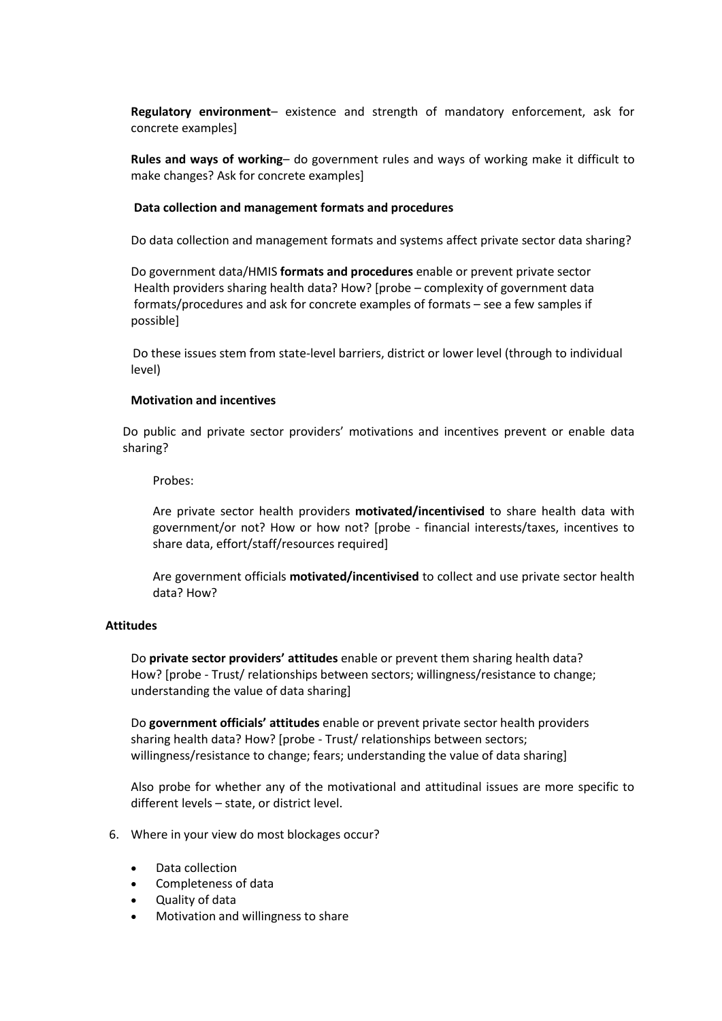**Regulatory environment**– existence and strength of mandatory enforcement, ask for concrete examples]

**Rules and ways of working**– do government rules and ways of working make it difficult to make changes? Ask for concrete examples]

#### **Data collection and management formats and procedures**

Do data collection and management formats and systems affect private sector data sharing?

 Do government data/HMIS **formats and procedures** enable or prevent private sector Health providers sharing health data? How? [probe – complexity of government data formats/procedures and ask for concrete examples of formats – see a few samples if possible]

Do these issues stem from state-level barriers, district or lower level (through to individual level)

#### **Motivation and incentives**

Do public and private sector providers' motivations and incentives prevent or enable data sharing?

Probes:

Are private sector health providers **motivated/incentivised** to share health data with government/or not? How or how not? [probe - financial interests/taxes, incentives to share data, effort/staff/resources required]

Are government officials **motivated/incentivised** to collect and use private sector health data? How?

#### **Attitudes**

Do **private sector providers' attitudes** enable or prevent them sharing health data? How? [probe - Trust/ relationships between sectors; willingness/resistance to change; understanding the value of data sharing]

Do **government officials' attitudes** enable or prevent private sector health providers sharing health data? How? [probe - Trust/ relationships between sectors; willingness/resistance to change; fears; understanding the value of data sharing]

Also probe for whether any of the motivational and attitudinal issues are more specific to different levels – state, or district level.

- 6. Where in your view do most blockages occur?
	- Data collection
	- Completeness of data
	- Quality of data
	- Motivation and willingness to share